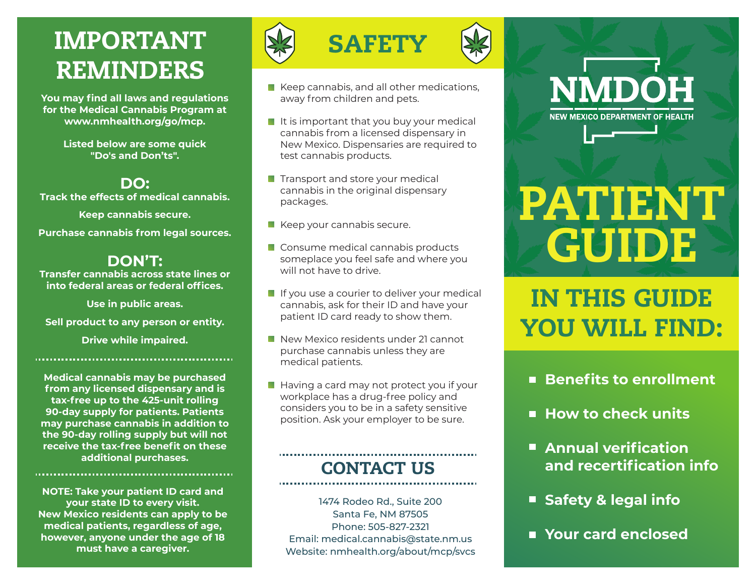# REMINDERS

**You may find all laws and regulations for the Medical Cannabis Program at www.nmhealth.org/go/mcp.**

> **Listed below are some quick "Do's and Don'ts".**

# **DO:**

**Track the effects of medical cannabis.**

**Keep cannabis secure.**

**Purchase cannabis from legal sources.**

# **DON'T:**

**Transfer cannabis across state lines or into federal areas or federal offices.**

**Use in public areas.**

**Sell product to any person or entity.**

**Drive while impaired.**

**Medical cannabis may be purchased from any licensed dispensary and is tax-free up to the 425-unit rolling 90-day supply for patients. Patients may purchase cannabis in addition to the 90-day rolling supply but will not receive the tax-free benefit on these additional purchases.**

**NOTE: Take your patient ID card and your state ID to every visit. New Mexico residents can apply to be medical patients, regardless of age, however, anyone under the age of 18 must have a caregiver.**



- $\blacksquare$  Keep cannabis, and all other medications, away from children and pets.
- $\blacksquare$  It is important that you buy your medical cannabis from a licensed dispensary in New Mexico. Dispensaries are required to test cannabis products.
- **Transport and store your medical** cannabis in the original dispensary packages.
- $\blacksquare$  Keep your cannabis secure.
- Consume medical cannabis products someplace you feel safe and where you will not have to drive.
- If you use a courier to deliver your medical cannabis, ask for their ID and have your patient ID card ready to show them.
- New Mexico residents under 21 cannot purchase cannabis unless they are medical patients.
- $\blacksquare$  Having a card may not protect you if your workplace has a drug-free policy and considers you to be in a safety sensitive position. Ask your employer to be sure.

# CONTACT US

1474 Rodeo Rd., Suite 200 Santa Fe, NM 87505 Phone: 505-827-2321 Email: medical.cannabis@state.nm.us Website: nmhealth.org/about/mcp/svcs

# **NMDOH NEW MEXICO DEPARTMENT OF HEALTH**

# PATIENT GUIDE

IN THIS GUIDE YOU WILL FIND:

- Benefits to enrollment
- **How to check units**
- **Annual verification and recertification info**
- **Safety & legal info**
- **Your card enclosed**